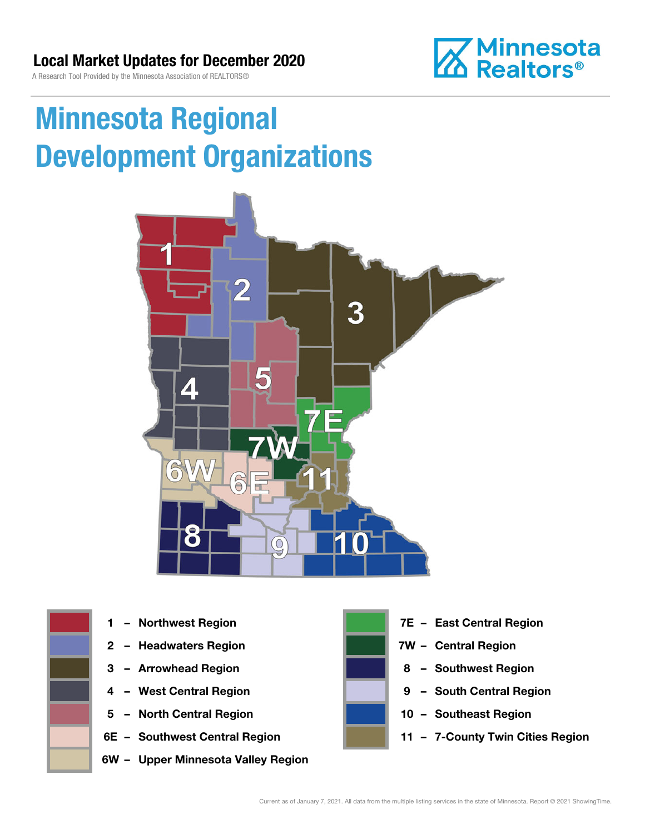### Local Market Updates for December 2020

A Research Tool Provided by the Minnesota Association of REALTORS®



# Minnesota Regional Development Organizations







- 
- 
- 
- 5 North Central Region 10 Southeast Region
- 
- 6W Upper Minnesota Valley Region



- 1 Northwest Region **1 1999 12 Property Contral Region**
- 2 Headwaters Region **1988 7W Central Region**
- 3 Arrowhead Region **8 Southwest Region**
- 4 West Central Region **19 South Central Region** 
	-
- 6E Southwest Central Region **11 7-County Twin Cities Region**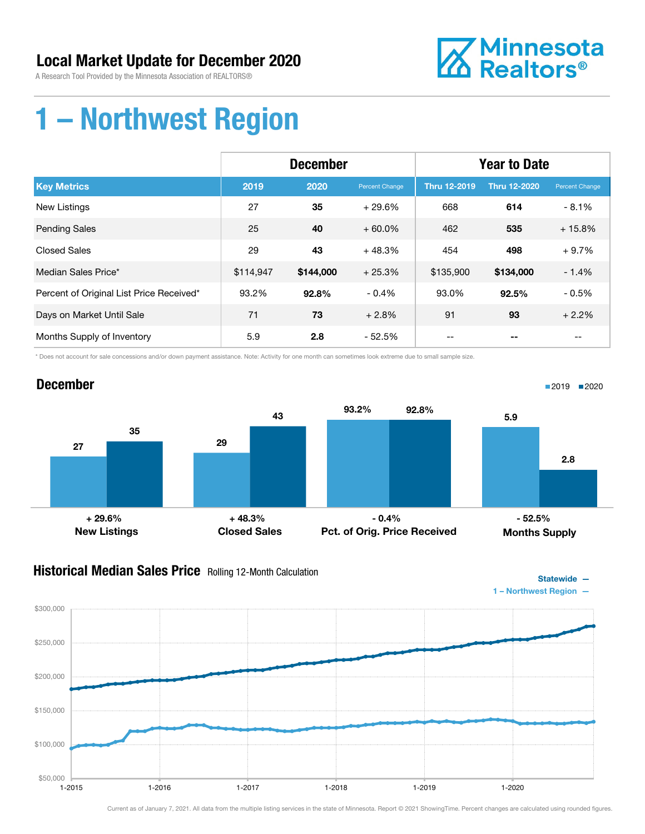# Local Market Update for December 2020

A Research Tool Provided by the Minnesota Association of REALTORS®



# 1 – Northwest Region

|                                          | <b>December</b> |           |                | <b>Year to Date</b> |                     |                |
|------------------------------------------|-----------------|-----------|----------------|---------------------|---------------------|----------------|
| <b>Key Metrics</b>                       | 2019            | 2020      | Percent Change | <b>Thru 12-2019</b> | <b>Thru 12-2020</b> | Percent Change |
| <b>New Listings</b>                      | 27              | 35        | $+29.6%$       | 668                 | 614                 | $-8.1%$        |
| <b>Pending Sales</b>                     | 25              | 40        | $+60.0\%$      | 462                 | 535                 | $+15.8%$       |
| <b>Closed Sales</b>                      | 29              | 43        | $+48.3%$       | 454                 | 498                 | $+9.7%$        |
| Median Sales Price*                      | \$114,947       | \$144,000 | $+25.3%$       | \$135,900           | \$134,000           | $-1.4%$        |
| Percent of Original List Price Received* | 93.2%           | 92.8%     | $-0.4%$        | 93.0%               | 92.5%               | $-0.5%$        |
| Days on Market Until Sale                | 71              | 73        | $+2.8%$        | 91                  | 93                  | $+2.2%$        |
| Months Supply of Inventory               | 5.9             | 2.8       | - 52.5%        |                     |                     | --             |

\* Does not account for sale concessions and/or down payment assistance. Note: Activity for one month can sometimes look extreme due to small sample size.



### **Historical Median Sales Price** Rolling 12-Month Calculation



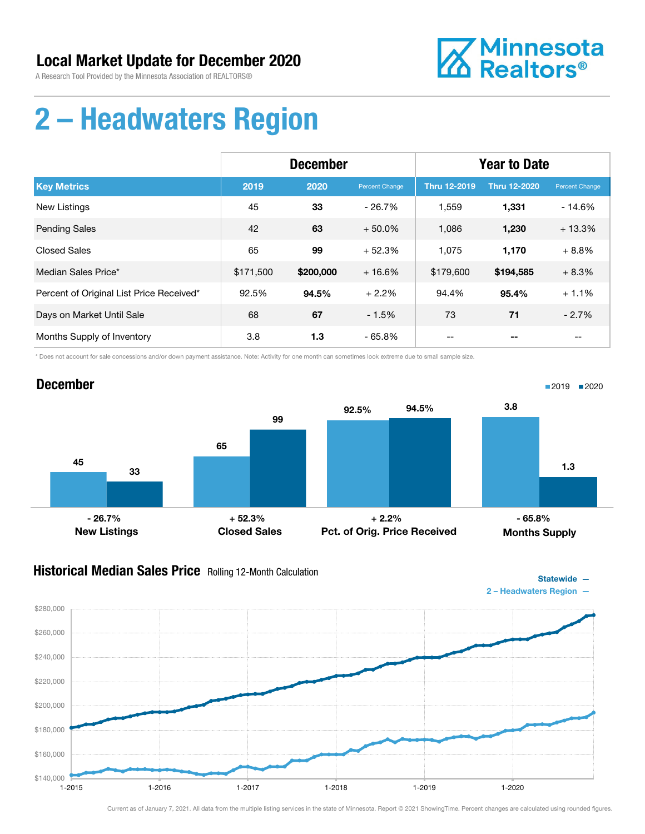

# 2 – Headwaters Region

|                                          | <b>December</b> |           |                | <b>Year to Date</b> |                     |                |
|------------------------------------------|-----------------|-----------|----------------|---------------------|---------------------|----------------|
| <b>Key Metrics</b>                       | 2019            | 2020      | Percent Change | <b>Thru 12-2019</b> | <b>Thru 12-2020</b> | Percent Change |
| <b>New Listings</b>                      | 45              | 33        | $-26.7%$       | 1,559               | 1,331               | $-14.6%$       |
| <b>Pending Sales</b>                     | 42              | 63        | $+50.0%$       | 1,086               | 1,230               | $+13.3%$       |
| <b>Closed Sales</b>                      | 65              | 99        | $+52.3%$       | 1.075               | 1,170               | $+8.8%$        |
| Median Sales Price*                      | \$171,500       | \$200,000 | $+16.6%$       | \$179,600           | \$194,585           | $+8.3%$        |
| Percent of Original List Price Received* | 92.5%           | 94.5%     | $+2.2%$        | 94.4%               | 95.4%               | $+1.1%$        |
| Days on Market Until Sale                | 68              | 67        | $-1.5%$        | 73                  | 71                  | $-2.7%$        |
| Months Supply of Inventory               | 3.8             | 1.3       | $-65.8%$       |                     |                     |                |

\* Does not account for sale concessions and/or down payment assistance. Note: Activity for one month can sometimes look extreme due to small sample size.



### Historical Median Sales Price Rolling 12-Month Calculation



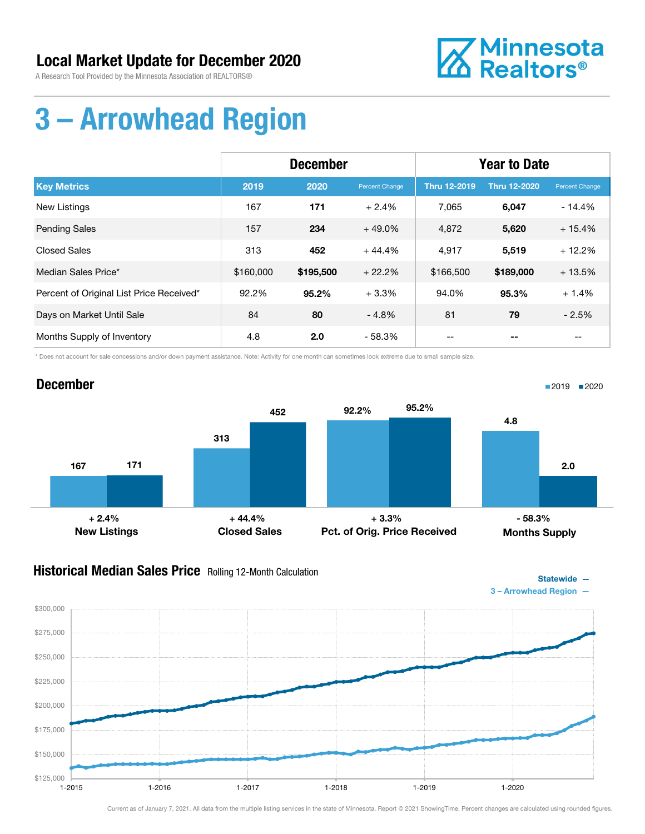

# 3 – Arrowhead Region

|                                          | <b>December</b> |           |                | <b>Year to Date</b> |              |                |
|------------------------------------------|-----------------|-----------|----------------|---------------------|--------------|----------------|
| <b>Key Metrics</b>                       | 2019            | 2020      | Percent Change | <b>Thru 12-2019</b> | Thru 12-2020 | Percent Change |
| New Listings                             | 167             | 171       | $+2.4%$        | 7,065               | 6,047        | $-14.4%$       |
| <b>Pending Sales</b>                     | 157             | 234       | $+49.0%$       | 4,872               | 5,620        | $+15.4%$       |
| <b>Closed Sales</b>                      | 313             | 452       | $+44.4%$       | 4,917               | 5,519        | $+12.2%$       |
| Median Sales Price*                      | \$160,000       | \$195,500 | $+22.2%$       | \$166,500           | \$189,000    | $+13.5%$       |
| Percent of Original List Price Received* | 92.2%           | $95.2\%$  | $+3.3%$        | 94.0%               | 95.3%        | $+1.4%$        |
| Days on Market Until Sale                | 84              | 80        | $-4.8%$        | 81                  | 79           | $-2.5%$        |
| Months Supply of Inventory               | 4.8             | 2.0       | $-58.3%$       |                     | --           |                |

\* Does not account for sale concessions and/or down payment assistance. Note: Activity for one month can sometimes look extreme due to small sample size.



### **Historical Median Sales Price** Rolling 12-Month Calculation



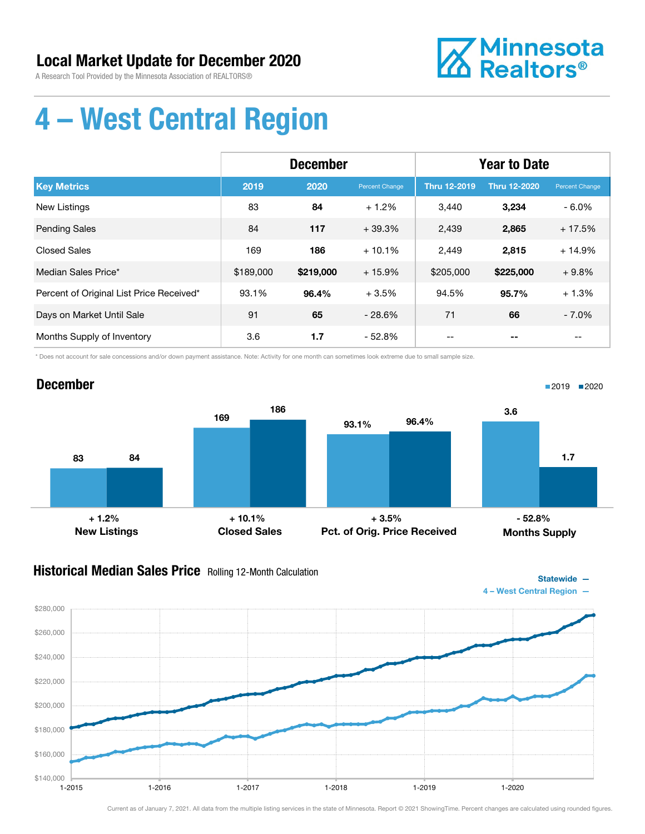

# 4 – West Central Region

|                                          | <b>December</b> |           |                | <b>Year to Date</b> |                     |                |
|------------------------------------------|-----------------|-----------|----------------|---------------------|---------------------|----------------|
| <b>Key Metrics</b>                       | 2019            | 2020      | Percent Change | <b>Thru 12-2019</b> | <b>Thru 12-2020</b> | Percent Change |
| <b>New Listings</b>                      | 83              | 84        | $+1.2%$        | 3,440               | 3,234               | $-6.0\%$       |
| <b>Pending Sales</b>                     | 84              | 117       | $+39.3%$       | 2,439               | 2,865               | $+17.5%$       |
| <b>Closed Sales</b>                      | 169             | 186       | $+10.1%$       | 2,449               | 2,815               | $+14.9%$       |
| Median Sales Price*                      | \$189,000       | \$219,000 | $+15.9%$       | \$205,000           | \$225,000           | $+9.8%$        |
| Percent of Original List Price Received* | 93.1%           | 96.4%     | $+3.5%$        | 94.5%               | 95.7%               | $+1.3%$        |
| Days on Market Until Sale                | 91              | 65        | $-28.6%$       | 71                  | 66                  | $-7.0\%$       |
| Months Supply of Inventory               | 3.6             | 1.7       | $-52.8%$       |                     |                     |                |

\* Does not account for sale concessions and/or down payment assistance. Note: Activity for one month can sometimes look extreme due to small sample size.



### Historical Median Sales Price Rolling 12-Month Calculation

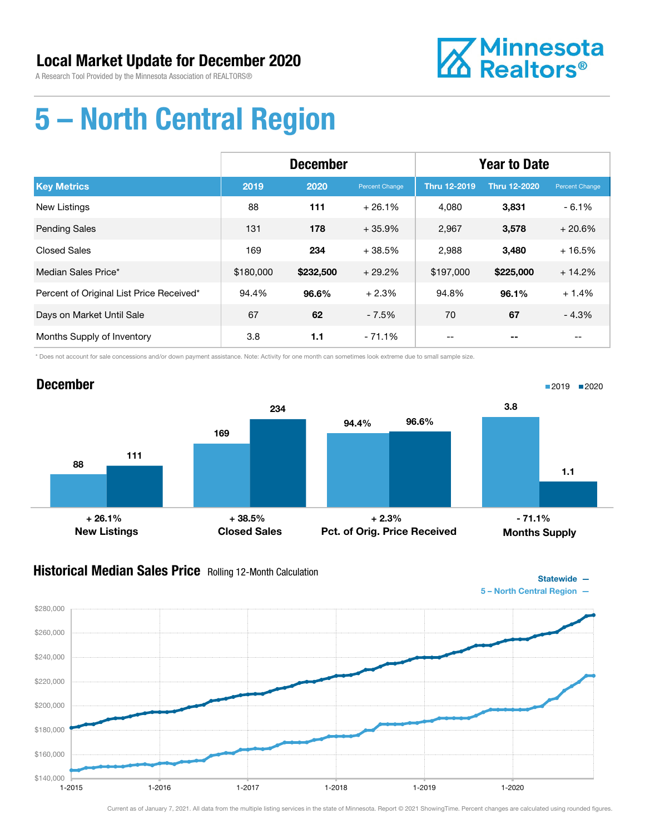

# 5 – North Central Region

|                                          | <b>December</b> |           |                       | <b>Year to Date</b> |                     |                |
|------------------------------------------|-----------------|-----------|-----------------------|---------------------|---------------------|----------------|
| <b>Key Metrics</b>                       | 2019            | 2020      | <b>Percent Change</b> | Thru 12-2019        | <b>Thru 12-2020</b> | Percent Change |
| <b>New Listings</b>                      | 88              | 111       | $+26.1%$              | 4.080               | 3,831               | $-6.1%$        |
| <b>Pending Sales</b>                     | 131             | 178       | $+35.9%$              | 2,967               | 3,578               | $+20.6%$       |
| <b>Closed Sales</b>                      | 169             | 234       | $+38.5%$              | 2,988               | 3,480               | $+16.5%$       |
| Median Sales Price*                      | \$180,000       | \$232,500 | $+29.2%$              | \$197,000           | \$225,000           | $+14.2%$       |
| Percent of Original List Price Received* | 94.4%           | 96.6%     | $+2.3%$               | 94.8%               | 96.1%               | $+1.4%$        |
| Days on Market Until Sale                | 67              | 62        | $-7.5%$               | 70                  | 67                  | $-4.3%$        |
| Months Supply of Inventory               | 3.8             | 1.1       | $-71.1%$              |                     |                     | --             |

\* Does not account for sale concessions and/or down payment assistance. Note: Activity for one month can sometimes look extreme due to small sample size.



### **Historical Median Sales Price** Rolling 12-Month Calculation

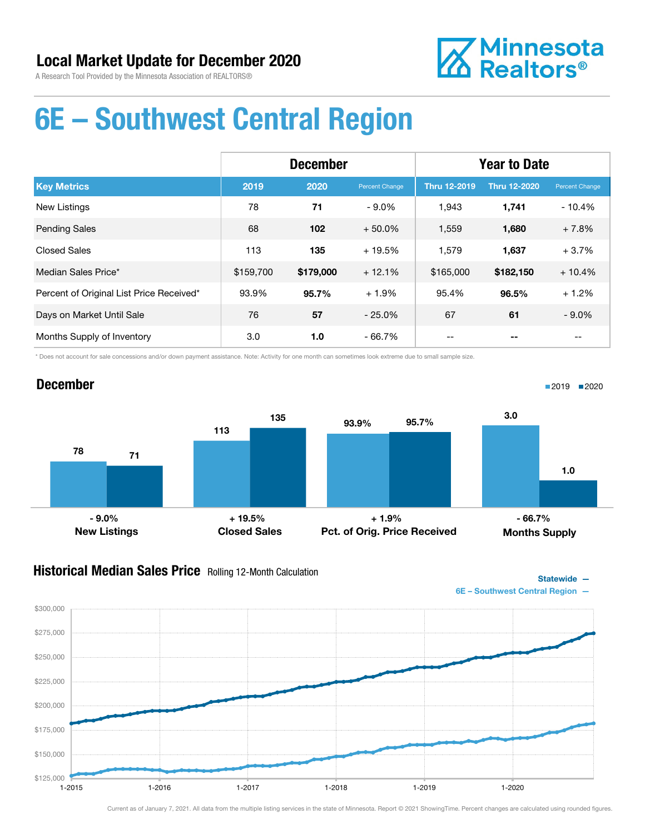

# 6E – Southwest Central Region

|                                          | <b>December</b> |           |                | <b>Year to Date</b> |                     |                |
|------------------------------------------|-----------------|-----------|----------------|---------------------|---------------------|----------------|
| <b>Key Metrics</b>                       | 2019            | 2020      | Percent Change | <b>Thru 12-2019</b> | <b>Thru 12-2020</b> | Percent Change |
| <b>New Listings</b>                      | 78              | 71        | $-9.0%$        | 1,943               | 1,741               | $-10.4%$       |
| <b>Pending Sales</b>                     | 68              | 102       | $+50.0%$       | 1,559               | 1,680               | $+7.8%$        |
| <b>Closed Sales</b>                      | 113             | 135       | $+19.5%$       | 1,579               | 1,637               | $+3.7%$        |
| Median Sales Price*                      | \$159,700       | \$179,000 | $+12.1%$       | \$165,000           | \$182,150           | $+10.4%$       |
| Percent of Original List Price Received* | 93.9%           | 95.7%     | $+1.9%$        | 95.4%               | 96.5%               | $+1.2%$        |
| Days on Market Until Sale                | 76              | 57        | $-25.0%$       | 67                  | 61                  | $-9.0\%$       |
| Months Supply of Inventory               | 3.0             | 1.0       | $-66.7%$       |                     |                     |                |

\* Does not account for sale concessions and/or down payment assistance. Note: Activity for one month can sometimes look extreme due to small sample size.

### December

 $$125,000$  1-2015

\$150,000

\$175,000

\$200,000

\$225,000

\$250,000

\$275,000

\$300,000



#### **Historical Median Sales Price** Rolling 12-Month Calculation



1-2015 1-2016 1-2017 1-2018 1-2019 1-2020

■2019 2020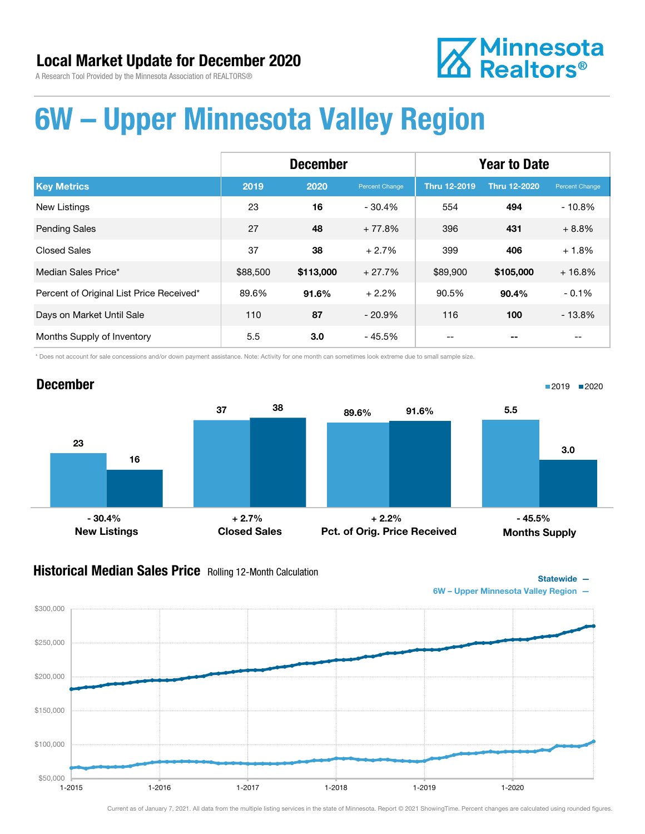# **Z** Minnesota<br>**ZA Realtors**®

# 6W – Upper Minnesota Valley Region

|                                          | <b>December</b> |           |                | <b>Year to Date</b> |              |                |
|------------------------------------------|-----------------|-----------|----------------|---------------------|--------------|----------------|
| <b>Key Metrics</b>                       | 2019            | 2020      | Percent Change | <b>Thru 12-2019</b> | Thru 12-2020 | Percent Change |
| <b>New Listings</b>                      | 23              | 16        | $-30.4%$       | 554                 | 494          | $-10.8%$       |
| <b>Pending Sales</b>                     | 27              | 48        | $+77.8%$       | 396                 | 431          | $+8.8%$        |
| <b>Closed Sales</b>                      | 37              | 38        | $+2.7%$        | 399                 | 406          | $+1.8%$        |
| Median Sales Price*                      | \$88,500        | \$113,000 | $+27.7%$       | \$89,900            | \$105,000    | $+16.8%$       |
| Percent of Original List Price Received* | 89.6%           | 91.6%     | $+2.2%$        | 90.5%               | 90.4%        | $-0.1%$        |
| Days on Market Until Sale                | 110             | 87        | $-20.9\%$      | 116                 | 100          | $-13.8%$       |
| Months Supply of Inventory               | 5.5             | 3.0       | - 45.5%        |                     |              |                |

\* Does not account for sale concessions and/or down payment assistance. Note: Activity for one month can sometimes look extreme due to small sample size.

#### December 23 37 16 38 New Listings Closed Sales 89.6% 91.6% Pct. of Orig. Price Received 5.5 3.0 Months Supply ■2019 2020  $-30.4\%$  - 30.4% - 45.5% + 2.7% - 45.5% + 2.2% - 45.5%

#### **Historical Median Sales Price** Rolling 12-Month Calculation





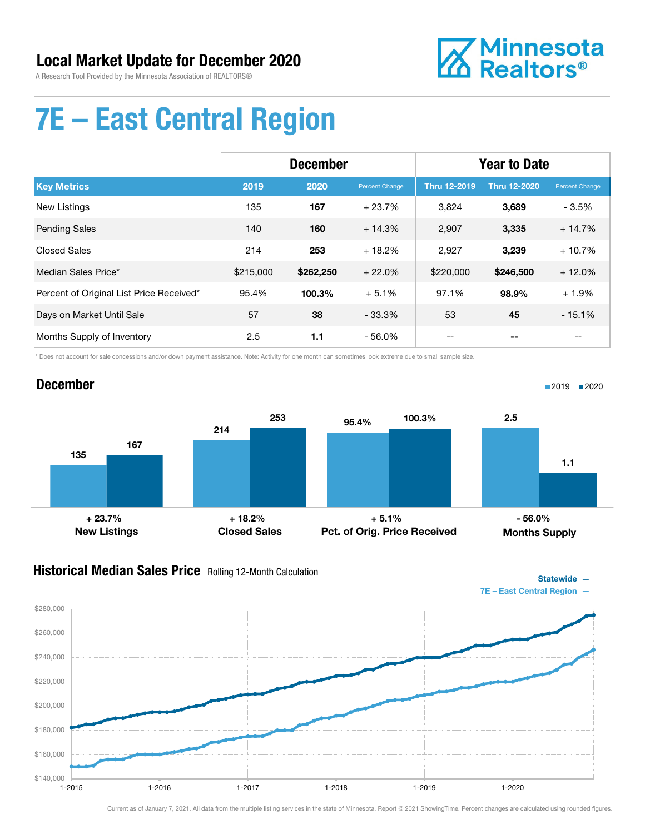

# 7E – East Central Region

|                                          | <b>December</b> |           |                | <b>Year to Date</b> |              |                |
|------------------------------------------|-----------------|-----------|----------------|---------------------|--------------|----------------|
| <b>Key Metrics</b>                       | 2019            | 2020      | Percent Change | <b>Thru 12-2019</b> | Thru 12-2020 | Percent Change |
| <b>New Listings</b>                      | 135             | 167       | $+23.7%$       | 3,824               | 3,689        | $-3.5%$        |
| <b>Pending Sales</b>                     | 140             | 160       | $+14.3%$       | 2,907               | 3,335        | $+14.7%$       |
| <b>Closed Sales</b>                      | 214             | 253       | $+18.2%$       | 2,927               | 3,239        | $+10.7%$       |
| Median Sales Price*                      | \$215,000       | \$262,250 | $+22.0%$       | \$220,000           | \$246,500    | $+12.0%$       |
| Percent of Original List Price Received* | 95.4%           | 100.3%    | $+5.1%$        | 97.1%               | 98.9%        | $+1.9%$        |
| Days on Market Until Sale                | 57              | 38        | $-33.3%$       | 53                  | 45           | $-15.1%$       |
| Months Supply of Inventory               | 2.5             | 1.1       | $-56.0%$       |                     |              |                |

\* Does not account for sale concessions and/or down payment assistance. Note: Activity for one month can sometimes look extreme due to small sample size.

### December

135 214 167 253 New Listings Closed Sales 95.4% 100.3% Pct. of Orig. Price Received 2.5 1.1 Months Supply  $+ 23.7\%$  - 56.0% + 18.2% + 5.1% + 5.1% - 56.0%

### **Historical Median Sales Price** Rolling 12-Month Calculation



Current as of January 7, 2021. All data from the multiple listing services in the state of Minnesota. Report © 2021 ShowingTime. Percent changes are calculated using rounded figures.

■2019 ■2020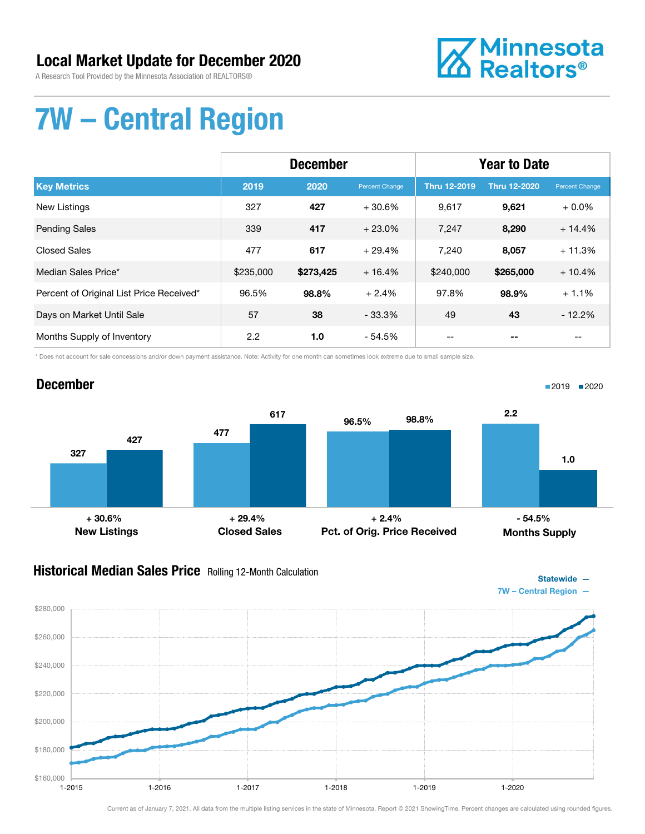# Local Market Update for December 2020

A Research Tool Provided by the Minnesota Association of REALTORS®



# 7W – Central Region

|                                          | <b>December</b> |           |                | <b>Year to Date</b> |                     |                |
|------------------------------------------|-----------------|-----------|----------------|---------------------|---------------------|----------------|
| <b>Key Metrics</b>                       | 2019            | 2020      | Percent Change | <b>Thru 12-2019</b> | <b>Thru 12-2020</b> | Percent Change |
| <b>New Listings</b>                      | 327             | 427       | $+30.6%$       | 9,617               | 9,621               | $+0.0\%$       |
| <b>Pending Sales</b>                     | 339             | 417       | $+23.0%$       | 7,247               | 8,290               | $+14.4%$       |
| <b>Closed Sales</b>                      | 477             | 617       | $+29.4%$       | 7,240               | 8,057               | $+11.3%$       |
| Median Sales Price*                      | \$235,000       | \$273,425 | $+16.4%$       | \$240,000           | \$265,000           | $+10.4%$       |
| Percent of Original List Price Received* | 96.5%           | 98.8%     | $+2.4%$        | 97.8%               | 98.9%               | $+1.1%$        |
| Days on Market Until Sale                | 57              | 38        | $-33.3\%$      | 49                  | 43                  | $-12.2%$       |
| Months Supply of Inventory               | 2.2             | 1.0       | $-54.5%$       |                     |                     |                |

\* Does not account for sale concessions and/or down payment assistance. Note: Activity for one month can sometimes look extreme due to small sample size.

# December



### **Historical Median Sales Price** Rolling 12-Month Calculation



■2019 2020

 $$160,000$  - 1-2015 \$180,000 \$200,000 \$220,000 \$240,000 \$260,000 \$280,000 1-2015 1-2016 1-2017 1-2018 1-2019 1-2020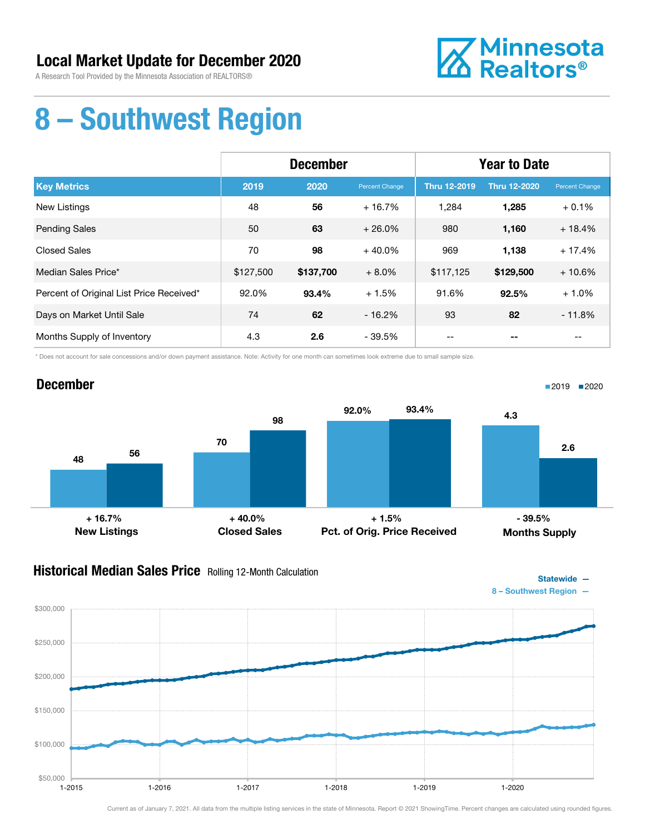

# 8 – Southwest Region

|                                          | <b>December</b> |           |                | <b>Year to Date</b> |                     |                |
|------------------------------------------|-----------------|-----------|----------------|---------------------|---------------------|----------------|
| <b>Key Metrics</b>                       | 2019            | 2020      | Percent Change | <b>Thru 12-2019</b> | <b>Thru 12-2020</b> | Percent Change |
| <b>New Listings</b>                      | 48              | 56        | $+16.7%$       | 1,284               | 1,285               | $+0.1%$        |
| <b>Pending Sales</b>                     | 50              | 63        | $+26.0%$       | 980                 | 1,160               | $+18.4%$       |
| <b>Closed Sales</b>                      | 70              | 98        | $+40.0%$       | 969                 | 1,138               | $+17.4%$       |
| Median Sales Price*                      | \$127,500       | \$137,700 | $+8.0%$        | \$117,125           | \$129,500           | $+10.6%$       |
| Percent of Original List Price Received* | 92.0%           | 93.4%     | $+1.5%$        | 91.6%               | 92.5%               | $+1.0%$        |
| Days on Market Until Sale                | 74              | 62        | $-16.2%$       | 93                  | 82                  | $-11.8%$       |
| Months Supply of Inventory               | 4.3             | 2.6       | $-39.5%$       |                     |                     |                |

\* Does not account for sale concessions and/or down payment assistance. Note: Activity for one month can sometimes look extreme due to small sample size.



### **Historical Median Sales Price** Rolling 12-Month Calculation



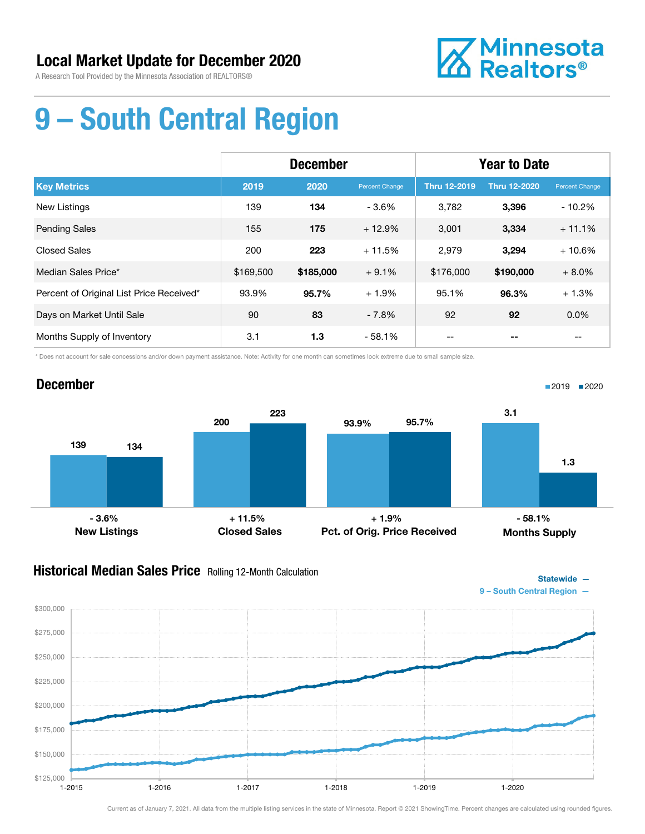

# 9 – South Central Region

|                                          | <b>December</b> |           |                | <b>Year to Date</b> |                     |                |
|------------------------------------------|-----------------|-----------|----------------|---------------------|---------------------|----------------|
| <b>Key Metrics</b>                       | 2019            | 2020      | Percent Change | <b>Thru 12-2019</b> | <b>Thru 12-2020</b> | Percent Change |
| New Listings                             | 139             | 134       | $-3.6%$        | 3,782               | 3,396               | $-10.2%$       |
| <b>Pending Sales</b>                     | 155             | 175       | $+12.9%$       | 3,001               | 3,334               | $+11.1%$       |
| <b>Closed Sales</b>                      | 200             | 223       | $+11.5%$       | 2,979               | 3,294               | $+10.6%$       |
| Median Sales Price*                      | \$169,500       | \$185,000 | $+9.1%$        | \$176,000           | \$190,000           | $+8.0%$        |
| Percent of Original List Price Received* | 93.9%           | 95.7%     | $+1.9%$        | 95.1%               | 96.3%               | $+1.3%$        |
| Days on Market Until Sale                | 90              | 83        | $-7.8%$        | 92                  | 92                  | $0.0\%$        |
| Months Supply of Inventory               | 3.1             | 1.3       | $-58.1%$       |                     |                     |                |

\* Does not account for sale concessions and/or down payment assistance. Note: Activity for one month can sometimes look extreme due to small sample size.

### December



### **Historical Median Sales Price** Rolling 12-Month Calculation



■2019 2020

Statewide —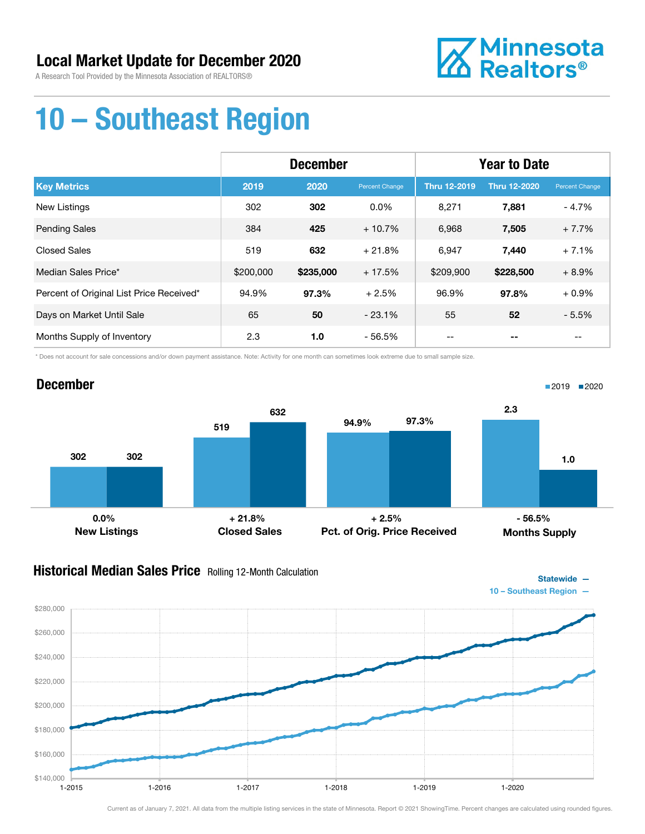

# 10 – Southeast Region

|                                          | <b>December</b> |           |                | <b>Year to Date</b> |                     |                |
|------------------------------------------|-----------------|-----------|----------------|---------------------|---------------------|----------------|
| <b>Key Metrics</b>                       | 2019            | 2020      | Percent Change | <b>Thru 12-2019</b> | <b>Thru 12-2020</b> | Percent Change |
| New Listings                             | 302             | 302       | $0.0\%$        | 8,271               | 7,881               | $-4.7%$        |
| <b>Pending Sales</b>                     | 384             | 425       | $+10.7%$       | 6,968               | 7,505               | $+7.7%$        |
| <b>Closed Sales</b>                      | 519             | 632       | $+21.8%$       | 6,947               | 7,440               | $+7.1%$        |
| Median Sales Price*                      | \$200,000       | \$235,000 | $+17.5%$       | \$209,900           | \$228,500           | $+8.9%$        |
| Percent of Original List Price Received* | 94.9%           | 97.3%     | $+2.5%$        | 96.9%               | 97.8%               | $+0.9%$        |
| Days on Market Until Sale                | 65              | 50        | $-23.1%$       | 55                  | 52                  | $-5.5%$        |
| Months Supply of Inventory               | 2.3             | 1.0       | $-56.5%$       | --                  |                     | $- -$          |

\* Does not account for sale concessions and/or down payment assistance. Note: Activity for one month can sometimes look extreme due to small sample size.



### Historical Median Sales Price Rolling 12-Month Calculation